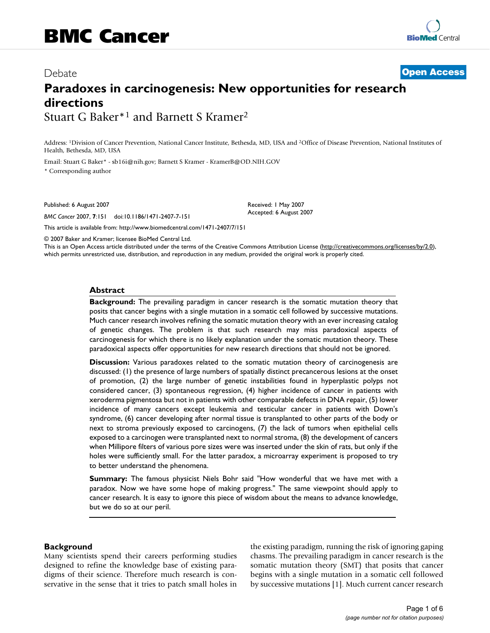## Debate **[Open Access](http://www.biomedcentral.com/info/about/charter/)**

# **Paradoxes in carcinogenesis: New opportunities for research directions** Stuart G Baker\*1 and Barnett S Kramer2

Address: 1Division of Cancer Prevention, National Cancer Institute, Bethesda, MD, USA and 2Office of Disease Prevention, National Institutes of Health, Bethesda, MD, USA

Email: Stuart G Baker\* - sb16i@nih.gov; Barnett S Kramer - KramerB@OD.NIH.GOV

\* Corresponding author

Published: 6 August 2007

*BMC Cancer* 2007, **7**:151 doi:10.1186/1471-2407-7-151

Received: 1 May 2007 Accepted: 6 August 2007

[This article is available from: http://www.biomedcentral.com/1471-2407/7/151](http://www.biomedcentral.com/1471-2407/7/151)

© 2007 Baker and Kramer; licensee BioMed Central Ltd.

This is an Open Access article distributed under the terms of the Creative Commons Attribution License [\(http://creativecommons.org/licenses/by/2.0\)](http://creativecommons.org/licenses/by/2.0), which permits unrestricted use, distribution, and reproduction in any medium, provided the original work is properly cited.

#### **Abstract**

**Background:** The prevailing paradigm in cancer research is the somatic mutation theory that posits that cancer begins with a single mutation in a somatic cell followed by successive mutations. Much cancer research involves refining the somatic mutation theory with an ever increasing catalog of genetic changes. The problem is that such research may miss paradoxical aspects of carcinogenesis for which there is no likely explanation under the somatic mutation theory. These paradoxical aspects offer opportunities for new research directions that should not be ignored.

**Discussion:** Various paradoxes related to the somatic mutation theory of carcinogenesis are discussed: (1) the presence of large numbers of spatially distinct precancerous lesions at the onset of promotion, (2) the large number of genetic instabilities found in hyperplastic polyps not considered cancer, (3) spontaneous regression, (4) higher incidence of cancer in patients with xeroderma pigmentosa but not in patients with other comparable defects in DNA repair, (5) lower incidence of many cancers except leukemia and testicular cancer in patients with Down's syndrome, (6) cancer developing after normal tissue is transplanted to other parts of the body or next to stroma previously exposed to carcinogens, (7) the lack of tumors when epithelial cells exposed to a carcinogen were transplanted next to normal stroma, (8) the development of cancers when Millipore filters of various pore sizes were was inserted under the skin of rats, but only if the holes were sufficiently small. For the latter paradox, a microarray experiment is proposed to try to better understand the phenomena.

**Summary:** The famous physicist Niels Bohr said "How wonderful that we have met with a paradox. Now we have some hope of making progress." The same viewpoint should apply to cancer research. It is easy to ignore this piece of wisdom about the means to advance knowledge, but we do so at our peril.

#### **Background**

Many scientists spend their careers performing studies designed to refine the knowledge base of existing paradigms of their science. Therefore much research is conservative in the sense that it tries to patch small holes in the existing paradigm, running the risk of ignoring gaping chasms. The prevailing paradigm in cancer research is the somatic mutation theory (SMT) that posits that cancer begins with a single mutation in a somatic cell followed by successive mutations [1]. Much current cancer research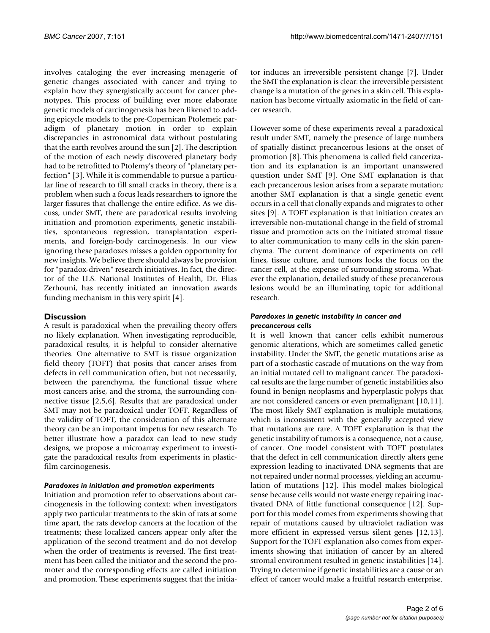involves cataloging the ever increasing menagerie of genetic changes associated with cancer and trying to explain how they synergistically account for cancer phenotypes. This process of building ever more elaborate genetic models of carcinogenesis has been likened to adding epicycle models to the pre-Copernican Ptolemeic paradigm of planetary motion in order to explain discrepancies in astronomical data without postulating that the earth revolves around the sun [2]. The description of the motion of each newly discovered planetary body had to be retrofitted to Ptolemy's theory of "planetary perfection" [3]. While it is commendable to pursue a particular line of research to fill small cracks in theory, there is a problem when such a focus leads researchers to ignore the larger fissures that challenge the entire edifice. As we discuss, under SMT, there are paradoxical results involving initiation and promotion experiments, genetic instabilities, spontaneous regression, transplantation experiments, and foreign-body carcinogenesis. In our view ignoring these paradoxes misses a golden opportunity for new insights. We believe there should always be provision for "paradox-driven" research initiatives. In fact, the director of the U.S. National Institutes of Health, Dr. Elias Zerhouni, has recently initiated an innovation awards funding mechanism in this very spirit [4].

### **Discussion**

A result is paradoxical when the prevailing theory offers no likely explanation. When investigating reproducible, paradoxical results, it is helpful to consider alternative theories. One alternative to SMT is tissue organization field theory (TOFT) that posits that cancer arises from defects in cell communication often, but not necessarily, between the parenchyma, the functional tissue where most cancers arise, and the stroma, the surrounding connective tissue [2,5,6]. Results that are paradoxical under SMT may not be paradoxical under TOFT. Regardless of the validity of TOFT, the consideration of this alternate theory can be an important impetus for new research. To better illustrate how a paradox can lead to new study designs, we propose a microarray experiment to investigate the paradoxical results from experiments in plasticfilm carcinogenesis.

#### *Paradoxes in initiation and promotion experiments*

Initiation and promotion refer to observations about carcinogenesis in the following context: when investigators apply two particular treatments to the skin of rats at some time apart, the rats develop cancers at the location of the treatments; these localized cancers appear only after the application of the second treatment and do not develop when the order of treatments is reversed. The first treatment has been called the initiator and the second the promoter and the corresponding effects are called initiation and promotion. These experiments suggest that the initiator induces an irreversible persistent change [7]. Under the SMT the explanation is clear: the irreversible persistent change is a mutation of the genes in a skin cell. This explanation has become virtually axiomatic in the field of cancer research.

However some of these experiments reveal a paradoxical result under SMT, namely the presence of large numbers of spatially distinct precancerous lesions at the onset of promotion [8]. This phenomena is called field cancerization and its explanation is an important unanswered question under SMT [9]. One SMT explanation is that each precancerous lesion arises from a separate mutation; another SMT explanation is that a single genetic event occurs in a cell that clonally expands and migrates to other sites [9]. A TOFT explanation is that initiation creates an irreversible non-mutational change in the field of stromal tissue and promotion acts on the initiated stromal tissue to alter communication to many cells in the skin parenchyma. The current dominance of experiments on cell lines, tissue culture, and tumors locks the focus on the cancer cell, at the expense of surrounding stroma. Whatever the explanation, detailed study of these precancerous lesions would be an illuminating topic for additional research.

#### *Paradoxes in genetic instability in cancer and precancerous cells*

It is well known that cancer cells exhibit numerous genomic alterations, which are sometimes called genetic instability. Under the SMT, the genetic mutations arise as part of a stochastic cascade of mutations on the way from an initial mutated cell to malignant cancer. The paradoxical results are the large number of genetic instabilities also found in benign neoplasms and hyperplastic polyps that are not considered cancers or even premalignant [10,11]. The most likely SMT explanation is multiple mutations, which is inconsistent with the generally accepted view that mutations are rare. A TOFT explanation is that the genetic instability of tumors is a consequence, not a cause, of cancer. One model consistent with TOFT postulates that the defect in cell communication directly alters gene expression leading to inactivated DNA segments that are not repaired under normal processes, yielding an accumulation of mutations [12]. This model makes biological sense because cells would not waste energy repairing inactivated DNA of little functional consequence [12]. Support for this model comes from experiments showing that repair of mutations caused by ultraviolet radiation was more efficient in expressed versus silent genes [12,13]. Support for the TOFT explanation also comes from experiments showing that initiation of cancer by an altered stromal environment resulted in genetic instabilities [14]. Trying to determine if genetic instabilities are a cause or an effect of cancer would make a fruitful research enterprise.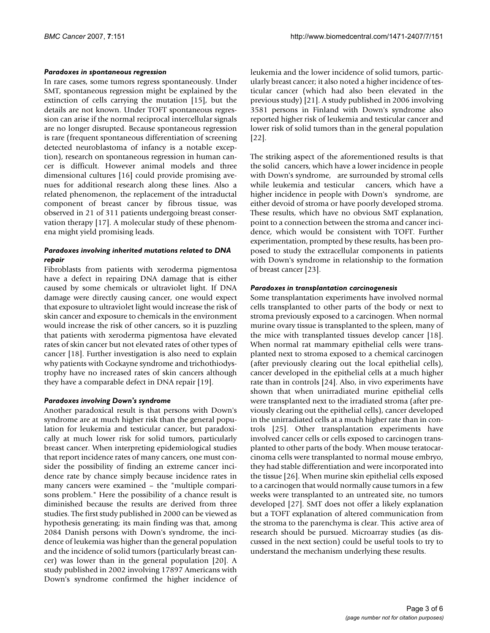#### *Paradoxes in spontaneous regression*

In rare cases, some tumors regress spontaneously. Under SMT, spontaneous regression might be explained by the extinction of cells carrying the mutation [15], but the details are not known. Under TOFT spontaneous regression can arise if the normal reciprocal intercellular signals are no longer disrupted. Because spontaneous regression is rare (frequent spontaneous differentiation of screening detected neuroblastoma of infancy is a notable exception), research on spontaneous regression in human cancer is difficult. However animal models and three dimensional cultures [16] could provide promising avenues for additional research along these lines. Also a related phenomenon, the replacement of the intraductal component of breast cancer by fibrous tissue, was observed in 21 of 311 patients undergoing breast conservation therapy [17]. A molecular study of these phenomena might yield promising leads.

#### *Paradoxes involving inherited mutations related to DNA repair*

Fibroblasts from patients with xeroderma pigmentosa have a defect in repairing DNA damage that is either caused by some chemicals or ultraviolet light. If DNA damage were directly causing cancer, one would expect that exposure to ultraviolet light would increase the risk of skin cancer and exposure to chemicals in the environment would increase the risk of other cancers, so it is puzzling that patients with xeroderma pigmentosa have elevated rates of skin cancer but not elevated rates of other types of cancer [18]. Further investigation is also need to explain why patients with Cockayne syndrome and trichothiodystrophy have no increased rates of skin cancers although they have a comparable defect in DNA repair [19].

#### *Paradoxes involving Down's syndrome*

Another paradoxical result is that persons with Down's syndrome are at much higher risk than the general population for leukemia and testicular cancer, but paradoxically at much lower risk for solid tumors, particularly breast cancer. When interpreting epidemiological studies that report incidence rates of many cancers, one must consider the possibility of finding an extreme cancer incidence rate by chance simply because incidence rates in many cancers were examined – the "multiple comparisons problem." Here the possibility of a chance result is diminished because the results are derived from three studies. The first study published in 2000 can be viewed as hypothesis generating; its main finding was that, among 2084 Danish persons with Down's syndrome, the incidence of leukemia was higher than the general population and the incidence of solid tumors (particularly breast cancer) was lower than in the general population [20]. A study published in 2002 involving 17897 Americans with Down's syndrome confirmed the higher incidence of leukemia and the lower incidence of solid tumors, particularly breast cancer; it also noted a higher incidence of testicular cancer (which had also been elevated in the previous study) [21]. A study published in 2006 involving 3581 persons in Finland with Down's syndrome also reported higher risk of leukemia and testicular cancer and lower risk of solid tumors than in the general population [22].

The striking aspect of the aforementioned results is that the solid cancers, which have a lower incidence in people with Down's syndrome, are surrounded by stromal cells while leukemia and testicular cancers, which have a higher incidence in people with Down's syndrome, are either devoid of stroma or have poorly developed stroma. These results, which have no obvious SMT explanation, point to a connection between the stroma and cancer incidence, which would be consistent with TOFT. Further experimentation, prompted by these results, has been proposed to study the extracellular components in patients with Down's syndrome in relationship to the formation of breast cancer [23].

#### *Paradoxes in transplantation carcinogenesis*

Some transplantation experiments have involved normal cells transplanted to other parts of the body or next to stroma previously exposed to a carcinogen. When normal murine ovary tissue is transplanted to the spleen, many of the mice with transplanted tissues develop cancer [18]. When normal rat mammary epithelial cells were transplanted next to stroma exposed to a chemical carcinogen (after previously clearing out the local epithelial cells), cancer developed in the epithelial cells at a much higher rate than in controls [24]. Also, in vivo experiments have shown that when unirradiated murine epithelial cells were transplanted next to the irradiated stroma (after previously clearing out the epithelial cells), cancer developed in the unirradiated cells at a much higher rate than in controls [25]. Other transplantation experiments have involved cancer cells or cells exposed to carcinogen transplanted to other parts of the body. When mouse teratocarcinoma cells were transplanted to normal mouse embryo, they had stable differentiation and were incorporated into the tissue [26]. When murine skin epithelial cells exposed to a carcinogen that would normally cause tumors in a few weeks were transplanted to an untreated site, no tumors developed [27]. SMT does not offer a likely explanation but a TOFT explanation of altered communication from the stroma to the parenchyma is clear. This active area of research should be pursued. Microarray studies (as discussed in the next section) could be useful tools to try to understand the mechanism underlying these results.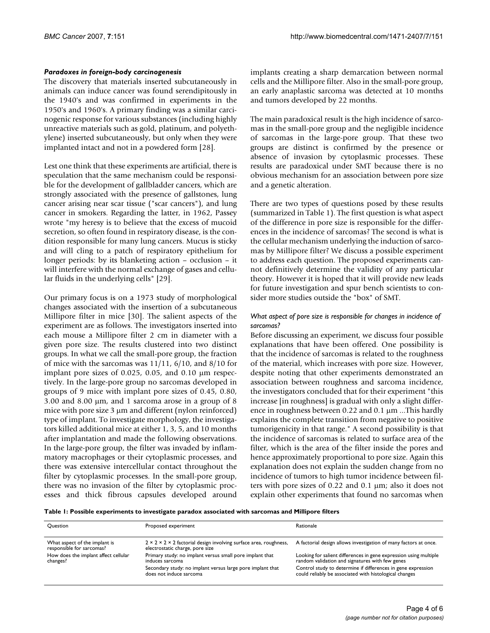#### *Paradoxes in foreign-body carcinogenesis*

The discovery that materials inserted subcutaneously in animals can induce cancer was found serendipitously in the 1940's and was confirmed in experiments in the 1950's and 1960's. A primary finding was a similar carcinogenic response for various substances (including highly unreactive materials such as gold, platinum, and polyethylene) inserted subcutaneously, but only when they were implanted intact and not in a powdered form [28].

Lest one think that these experiments are artificial, there is speculation that the same mechanism could be responsible for the development of gallbladder cancers, which are strongly associated with the presence of gallstones, lung cancer arising near scar tissue ("scar cancers"), and lung cancer in smokers. Regarding the latter, in 1962, Passey wrote "my heresy is to believe that the excess of mucoid secretion, so often found in respiratory disease, is the condition responsible for many lung cancers. Mucus is sticky and will cling to a patch of respiratory epithelium for longer periods: by its blanketing action – occlusion – it will interfere with the normal exchange of gases and cellular fluids in the underlying cells" [29].

Our primary focus is on a 1973 study of morphological changes associated with the insertion of a subcutaneous Millipore filter in mice [30]. The salient aspects of the experiment are as follows. The investigators inserted into each mouse a Millipore filter 2 cm in diameter with a given pore size. The results clustered into two distinct groups. In what we call the small-pore group, the fraction of mice with the sarcomas was 11/11, 6/10, and 8/10 for implant pore sizes of 0.025, 0.05, and 0.10 μm respectively. In the large-pore group no sarcomas developed in groups of 9 mice with implant pore sizes of 0.45, 0.80, 3.00 and 8.00 μm, and 1 sarcoma arose in a group of 8 mice with pore size 3 μm and different (nylon reinforced) type of implant. To investigate morphology, the investigators killed additional mice at either 1, 3, 5, and 10 months after implantation and made the following observations. In the large-pore group, the filter was invaded by inflammatory macrophages or their cytoplasmic processes, and there was extensive intercellular contact throughout the filter by cytoplasmic processes. In the small-pore group, there was no invasion of the filter by cytoplasmic processes and thick fibrous capsules developed around

implants creating a sharp demarcation between normal cells and the Millipore filter. Also in the small-pore group, an early anaplastic sarcoma was detected at 10 months and tumors developed by 22 months.

The main paradoxical result is the high incidence of sarcomas in the small-pore group and the negligible incidence of sarcomas in the large-pore group. That these two groups are distinct is confirmed by the presence or absence of invasion by cytoplasmic processes. These results are paradoxical under SMT because there is no obvious mechanism for an association between pore size and a genetic alteration.

There are two types of questions posed by these results (summarized in Table 1). The first question is what aspect of the difference in pore size is responsible for the differences in the incidence of sarcomas? The second is what is the cellular mechanism underlying the induction of sarcomas by Millipore filter? We discuss a possible experiment to address each question. The proposed experiments cannot definitively determine the validity of any particular theory. However it is hoped that it will provide new leads for future investigation and spur bench scientists to consider more studies outside the "box" of SMT.

#### *What aspect of pore size is responsible for changes in incidence of sarcomas?*

Before discussing an experiment, we discuss four possible explanations that have been offered. One possibility is that the incidence of sarcomas is related to the roughness of the material, which increases with pore size. However, despite noting that other experiments demonstrated an association between roughness and sarcoma incidence, the investigators concluded that for their experiment "this increase [in roughness] is gradual with only a slight difference in roughness between 0.22 and 0.1 μm ...This hardly explains the complete transition from negative to positive tumorigenicity in that range." A second possibility is that the incidence of sarcomas is related to surface area of the filter, which is the area of the filter inside the pores and hence approximately proportional to pore size. Again this explanation does not explain the sudden change from no incidence of tumors to high tumor incidence between filters with pore sizes of 0.22 and 0.1 μm; also it does not explain other experiments that found no sarcomas when

**Table 1: Possible experiments to investigate paradox associated with sarcomas and Millipore filters**

| Question                                                   | Proposed experiment                                                                                                   | Rationale                                                                                                              |
|------------------------------------------------------------|-----------------------------------------------------------------------------------------------------------------------|------------------------------------------------------------------------------------------------------------------------|
| What aspect of the implant is<br>responsible for sarcomas? | $2 \times 2 \times 2 \times 2$ factorial design involving surface area, roughness,<br>electrostatic charge, pore size | A factorial design allows investigation of many factors at once.                                                       |
| How does the implant affect cellular<br>changes?           | Primary study: no implant versus small pore implant that<br>induces sarcoma                                           | Looking for salient differences in gene expression using multiple<br>random validation and signatures with few genes   |
|                                                            | Secondary study: no implant versus large pore implant that<br>does not induce sarcoma                                 | Control study to determine if differences in gene expression<br>could reliably be associated with histological changes |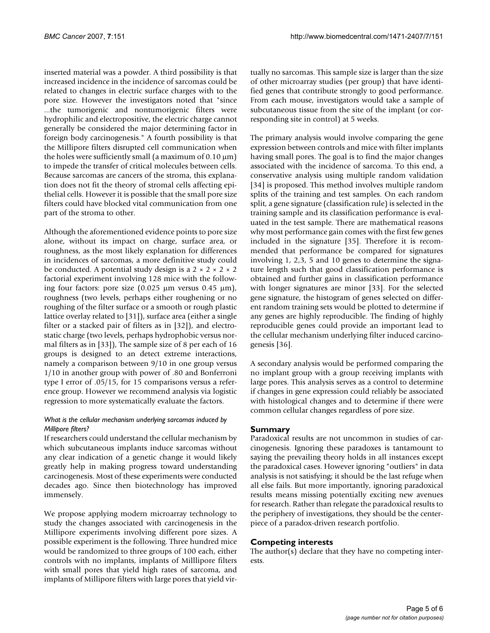inserted material was a powder. A third possibility is that increased incidence in the incidence of sarcomas could be related to changes in electric surface charges with to the pore size. However the investigators noted that "since ...the tumorigenic and nontumorigenic filters were hydrophilic and electropositive, the electric charge cannot generally be considered the major determining factor in foreign body carcinogenesis." A fourth possibility is that the Millipore filters disrupted cell communication when the holes were sufficiently small (a maximum of  $0.10 \,\mu m$ ) to impede the transfer of critical molecules between cells. Because sarcomas are cancers of the stroma, this explanation does not fit the theory of stromal cells affecting epithelial cells. However it is possible that the small pore size filters could have blocked vital communication from one part of the stroma to other.

Although the aforementioned evidence points to pore size alone, without its impact on charge, surface area, or roughness, as the most likely explanation for differences in incidences of sarcomas, a more definitive study could be conducted. A potential study design is a  $2 \times 2 \times 2 \times 2$ factorial experiment involving 128 mice with the following four factors: pore size  $(0.025 \mu m \text{ versus } 0.45 \mu m)$ , roughness (two levels, perhaps either roughening or no roughing of the filter surface or a smooth or rough plastic lattice overlay related to [31]), surface area (either a single filter or a stacked pair of filters as in [32]), and electrostatic charge (two levels, perhaps hydrophobic versus normal filters as in [33]), The sample size of 8 per each of 16 groups is designed to an detect extreme interactions, namely a comparison between 9/10 in one group versus 1/10 in another group with power of .80 and Bonferroni type I error of .05/15, for 15 comparisons versus a reference group. However we recommend analysis via logistic regression to more systematically evaluate the factors.

## *What is the cellular mechanism underlying sarcomas induced by Millipore filters?*

If researchers could understand the cellular mechanism by which subcutaneous implants induce sarcomas without any clear indication of a genetic change it would likely greatly help in making progress toward understanding carcinogenesis. Most of these experiments were conducted decades ago. Since then biotechnology has improved immensely.

We propose applying modern microarray technology to study the changes associated with carcinogenesis in the Millipore experiments involving different pore sizes. A possible experiment is the following. Three hundred mice would be randomized to three groups of 100 each, either controls with no implants, implants of Milllipore filters with small pores that yield high rates of sarcoma, and implants of Millipore filters with large pores that yield virtually no sarcomas. This sample size is larger than the size of other microarray studies (per group) that have identified genes that contribute strongly to good performance. From each mouse, investigators would take a sample of subcutaneous tissue from the site of the implant (or corresponding site in control) at 5 weeks.

The primary analysis would involve comparing the gene expression between controls and mice with filter implants having small pores. The goal is to find the major changes associated with the incidence of sarcoma. To this end, a conservative analysis using multiple random validation [34] is proposed. This method involves multiple random splits of the training and test samples. On each random split, a gene signature (classification rule) is selected in the training sample and its classification performance is evaluated in the test sample. There are mathematical reasons why most performance gain comes with the first few genes included in the signature [35]. Therefore it is recommended that performance be compared for signatures involving 1, 2,3, 5 and 10 genes to determine the signature length such that good classification performance is obtained and further gains in classification performance with longer signatures are minor [33]. For the selected gene signature, the histogram of genes selected on different random training sets would be plotted to determine if any genes are highly reproducible. The finding of highly reproducible genes could provide an important lead to the cellular mechanism underlying filter induced carcinogenesis [36].

A secondary analysis would be performed comparing the no implant group with a group receiving implants with large pores. This analysis serves as a control to determine if changes in gene expression could reliably be associated with histological changes and to determine if there were common cellular changes regardless of pore size.

## **Summary**

Paradoxical results are not uncommon in studies of carcinogenesis. Ignoring these paradoxes is tantamount to saying the prevailing theory holds in all instances except the paradoxical cases. However ignoring "outliers" in data analysis is not satisfying; it should be the last refuge when all else fails. But more importantly, ignoring paradoxical results means missing potentially exciting new avenues for research. Rather than relegate the paradoxical results to the periphery of investigations, they should be the centerpiece of a paradox-driven research portfolio.

## **Competing interests**

The author(s) declare that they have no competing interests.